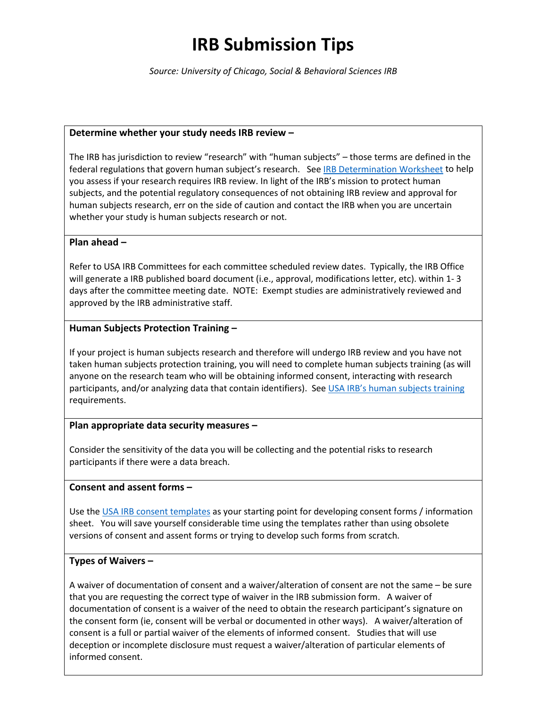# **IRB Submission Tips**

*Source: University of Chicago, Social & Behavioral Sciences IRB*

#### **Determine whether your study needs IRB review –**

The IRB has jurisdiction to review "research" with "human subjects" – those terms are defined in the federal regulations that govern human subject's research. See [IRB Determination Worksheet](https://www.southalabama.edu/departments/research/compliance/humansubjects/resources/irb.review.determination.worksheet.pdf) to help you assess if your research requires IRB review. In light of the IRB's mission to protect human subjects, and the potential regulatory consequences of not obtaining IRB review and approval for human subjects research, err on the side of caution and contact the IRB when you are uncertain whether your study is human subjects research or not.

#### **Plan ahead –**

Refer to USA IRB Committees for each committee scheduled review dates. Typically, the IRB Office will generate a IRB published board document (i.e., approval, modifications letter, etc). within 1- 3 days after the committee meeting date. NOTE: Exempt studies are administratively reviewed and approved by the IRB administrative staff.

## **Human Subjects Protection Training –**

If your project is human subjects research and therefore will undergo IRB review and you have not taken human subjects protection training, you will need to complete human subjects training (as will anyone on the research team who will be obtaining informed consent, interacting with research participants, and/or analyzing data that contain identifiers). Se[e USA IRB's human subjects training](https://www.southalabama.edu/departments/research/compliance/humansubjects/training.html) requirements.

## **Plan appropriate data security measures –**

Consider the sensitivity of the data you will be collecting and the potential risks to research participants if there were a data breach.

#### **Consent and assent forms –**

Use the [USA IRB consent templates](https://www.southalabama.edu/departments/research/compliance/humansubjects/informed-consent.html) as your starting point for developing consent forms / information sheet. You will save yourself considerable time using the templates rather than using obsolete versions of consent and assent forms or trying to develop such forms from scratch.

## **Types of Waivers –**

A waiver of documentation of consent and a waiver/alteration of consent are not the same – be sure that you are requesting the correct type of waiver in the IRB submission form. A waiver of documentation of consent is a waiver of the need to obtain the research participant's signature on the consent form (ie, consent will be verbal or documented in other ways). A waiver/alteration of consent is a full or partial waiver of the elements of informed consent. Studies that will use deception or incomplete disclosure must request a waiver/alteration of particular elements of informed consent.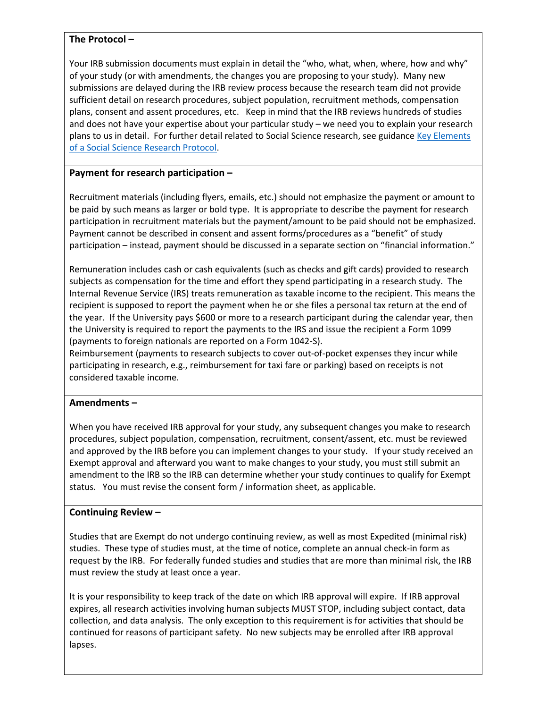## **The Protocol –**

Your IRB submission documents must explain in detail the "who, what, when, where, how and why" of your study (or with amendments, the changes you are proposing to your study). Many new submissions are delayed during the IRB review process because the research team did not provide sufficient detail on research procedures, subject population, recruitment methods, compensation plans, consent and assent procedures, etc. Keep in mind that the IRB reviews hundreds of studies and does not have your expertise about your particular study – we need you to explain your research plans to us in detail. For further detail related to Social Science research, see guidance Key Elements of a [Social Science Research Protocol.](https://www.southalabama.edu/departments/research/compliance/humansubjects/resources/key.elements.of.a.social.science.research.protocol.pdf)

## **Payment for research participation –**

Recruitment materials (including flyers, emails, etc.) should not emphasize the payment or amount to be paid by such means as larger or bold type. It is appropriate to describe the payment for research participation in recruitment materials but the payment/amount to be paid should not be emphasized. Payment cannot be described in consent and assent forms/procedures as a "benefit" of study participation – instead, payment should be discussed in a separate section on "financial information."

Remuneration includes cash or cash equivalents (such as checks and gift cards) provided to research subjects as compensation for the time and effort they spend participating in a research study. The Internal Revenue Service (IRS) treats remuneration as taxable income to the recipient. This means the recipient is supposed to report the payment when he or she files a personal tax return at the end of the year. If the University pays \$600 or more to a research participant during the calendar year, then the University is required to report the payments to the IRS and issue the recipient a Form 1099 (payments to foreign nationals are reported on a Form 1042-S).

Reimbursement (payments to research subjects to cover out-of-pocket expenses they incur while participating in research, e.g., reimbursement for taxi fare or parking) based on receipts is not considered taxable income.

#### **Amendments –**

When you have received IRB approval for your study, any subsequent changes you make to research procedures, subject population, compensation, recruitment, consent/assent, etc. must be reviewed and approved by the IRB before you can implement changes to your study. If your study received an Exempt approval and afterward you want to make changes to your study, you must still submit an amendment to the IRB so the IRB can determine whether your study continues to qualify for Exempt status. You must revise the consent form / information sheet, as applicable.

#### **Continuing Review –**

Studies that are Exempt do not undergo continuing review, as well as most Expedited (minimal risk) studies. These type of studies must, at the time of notice, complete an annual check-in form as request by the IRB. For federally funded studies and studies that are more than minimal risk, the IRB must review the study at least once a year.

It is your responsibility to keep track of the date on which IRB approval will expire. If IRB approval expires, all research activities involving human subjects MUST STOP, including subject contact, data collection, and data analysis. The only exception to this requirement is for activities that should be continued for reasons of participant safety. No new subjects may be enrolled after IRB approval lapses.